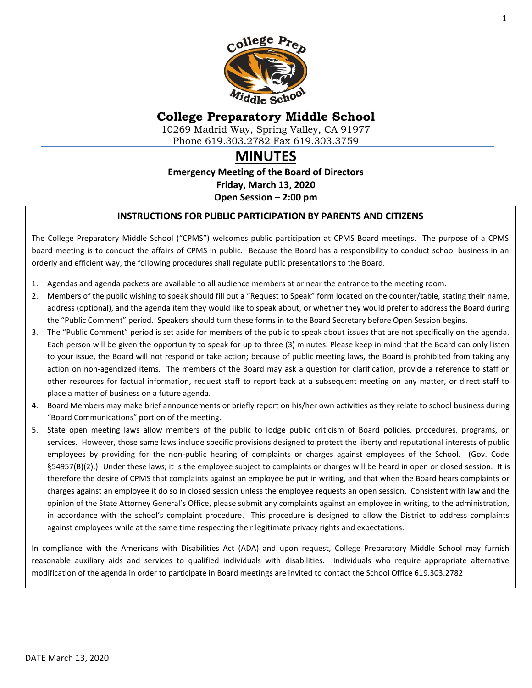

## **College Preparatory Middle School**

10269 Madrid Way, Spring Valley, CA 91977 Phone 619.303.2782 Fax 619.303.3759

# **MINUTES**

**Emergency Meeting of the Board of Directors Friday, March 13, 2020 Open Session – 2:00 pm**

#### **INSTRUCTIONS FOR PUBLIC PARTICIPATION BY PARENTS AND CITIZENS**

The College Preparatory Middle School ("CPMS") welcomes public participation at CPMS Board meetings. The purpose of a CPMS board meeting is to conduct the affairs of CPMS in public. Because the Board has a responsibility to conduct school business in an orderly and efficient way, the following procedures shall regulate public presentations to the Board.

- 1. Agendas and agenda packets are available to all audience members at or near the entrance to the meeting room.
- 2. Members of the public wishing to speak should fill out a "Request to Speak" form located on the counter/table, stating their name, address (optional), and the agenda item they would like to speak about, or whether they would prefer to address the Board during the "Public Comment" period. Speakers should turn these forms in to the Board Secretary before Open Session begins.
- 3. The "Public Comment" period is set aside for members of the public to speak about issues that are not specifically on the agenda. Each person will be given the opportunity to speak for up to three (3) minutes. Please keep in mind that the Board can only listen to your issue, the Board will not respond or take action; because of public meeting laws, the Board is prohibited from taking any action on non-agendized items. The members of the Board may ask a question for clarification, provide a reference to staff or other resources for factual information, request staff to report back at a subsequent meeting on any matter, or direct staff to place a matter of business on a future agenda.
- 4. Board Members may make brief announcements or briefly report on his/her own activities as they relate to school business during "Board Communications" portion of the meeting.
- 5. State open meeting laws allow members of the public to lodge public criticism of Board policies, procedures, programs, or services. However, those same laws include specific provisions designed to protect the liberty and reputational interests of public employees by providing for the non-public hearing of complaints or charges against employees of the School. (Gov. Code §54957(B)(2).) Under these laws, it is the employee subject to complaints or charges will be heard in open or closed session. It is therefore the desire of CPMS that complaints against an employee be put in writing, and that when the Board hears complaints or charges against an employee it do so in closed session unless the employee requests an open session. Consistent with law and the opinion of the State Attorney General's Office, please submit any complaints against an employee in writing, to the administration, in accordance with the school's complaint procedure. This procedure is designed to allow the District to address complaints against employees while at the same time respecting their legitimate privacy rights and expectations.

In compliance with the Americans with Disabilities Act (ADA) and upon request, College Preparatory Middle School may furnish reasonable auxiliary aids and services to qualified individuals with disabilities. Individuals who require appropriate alternative modification of the agenda in order to participate in Board meetings are invited to contact the School Office 619.303.2782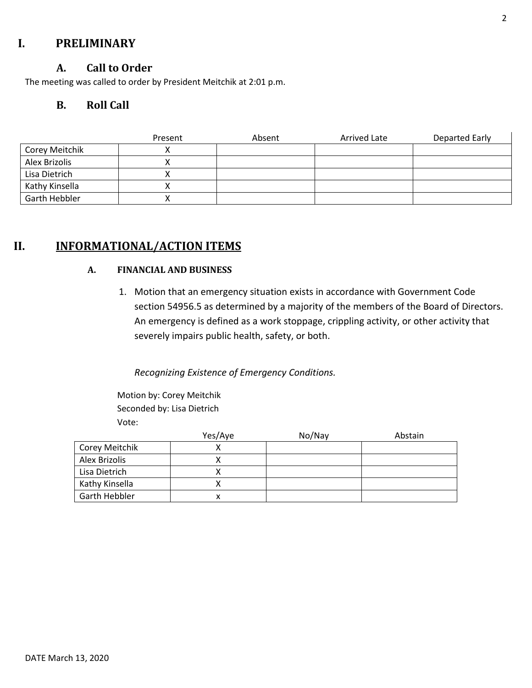## **I. PRELIMINARY**

#### **A. Call to Order**

The meeting was called to order by President Meitchik at 2:01 p.m.

### **B. Roll Call**

|                | Present | Absent | Arrived Late | Departed Early |
|----------------|---------|--------|--------------|----------------|
| Corey Meitchik |         |        |              |                |
| Alex Brizolis  |         |        |              |                |
| Lisa Dietrich  |         |        |              |                |
| Kathy Kinsella |         |        |              |                |
| Garth Hebbler  |         |        |              |                |

## **II. INFORMATIONAL/ACTION ITEMS**

#### **A. FINANCIAL AND BUSINESS**

1. Motion that an emergency situation exists in accordance with Government Code section 54956.5 as determined by a majority of the members of the Board of Directors. An emergency is defined as a work stoppage, crippling activity, or other activity that severely impairs public health, safety, or both.

*Recognizing Existence of Emergency Conditions.* 

Motion by: Corey Meitchik Seconded by: Lisa Dietrich Vote:

|                | Yes/Aye | No/Nay | Abstain |
|----------------|---------|--------|---------|
| Corey Meitchik |         |        |         |
| Alex Brizolis  |         |        |         |
| Lisa Dietrich  |         |        |         |
| Kathy Kinsella |         |        |         |
| Garth Hebbler  | x       |        |         |